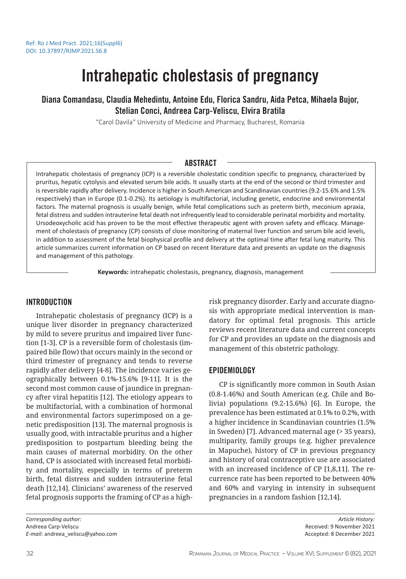# Intrahepatic cholestasis of pregnancy

Diana Comandasu, Claudia Mehedintu, Antoine Edu, Florica Sandru, Aida Petca, Mihaela Bujor, Stelian Conci, Andreea Carp-Veliscu, Elvira Bratila

"Carol Davila" University of Medicine and Pharmacy, Bucharest, Romania

# ABSTRACT

Intrahepatic cholestasis of pregnancy (ICP) is a reversible cholestatic condition specific to pregnancy, characterized by pruritus, hepatic cytolysis and elevated serum bile acids. It usually starts at the end of the second or third trimester and is reversible rapidly after delivery. Incidence is higher in South American and Scandinavian countries (9.2-15.6% and 1.5% respectively) than in Europe (0.1-0.2%). Its aetiology is multifactorial, including genetic, endocrine and environmental factors. The maternal prognosis is usually benign, while fetal complications such as preterm birth, meconium apraxia, fetal distress and sudden intrauterine fetal death not infrequently lead to considerable perinatal morbidity and mortality. Ursodeoxycholic acid has proven to be the most effective therapeutic agent with proven safety and efficacy. Management of cholestasis of pregnancy (CP) consists of close monitoring of maternal liver function and serum bile acid levels, in addition to assessment of the fetal biophysical profile and delivery at the optimal time after fetal lung maturity. This article summarizes current information on CP based on recent literature data and presents an update on the diagnosis and management of this pathology.

**Keywords:** intrahepatic cholestasis, pregnancy, diagnosis, management

# INTRODUCTION

Intrahepatic cholestasis of pregnancy (ICP) is a unique liver disorder in pregnancy characterized by mild to severe pruritus and impaired liver function [1-3]. CP is a reversible form of cholestasis (impaired bile flow) that occurs mainly in the second or third trimester of pregnancy and tends to reverse rapidly after delivery [4-8]. The incidence varies geographically between 0.1%-15.6% [9-11]. It is the second most common cause of jaundice in pregnancy after viral hepatitis [12]. The etiology appears to be multifactorial, with a combination of hormonal and environmental factors superimposed on a genetic predisposition [13]. The maternal prognosis is usually good, with intractable pruritus and a higher predisposition to postpartum bleeding being the main causes of maternal morbidity. On the other hand, CP is associated with increased fetal morbidity and mortality, especially in terms of preterm birth, fetal distress and sudden intrauterine fetal death [12,14]. Clinicians' awareness of the reserved fetal prognosis supports the framing of CP as a highrisk pregnancy disorder. Early and accurate diagnosis with appropriate medical intervention is mandatory for optimal fetal prognosis. This article reviews recent literature data and current concepts for CP and provides an update on the diagnosis and management of this obstetric pathology.

## EPIDEMIOLOGY

CP is significantly more common in South Asian (0.8-1.46%) and South American (e.g. Chile and Bolivia) populations (9.2-15.6%) [6]. In Europe, the prevalence has been estimated at 0.1% to 0.2%, with a higher incidence in Scandinavian countries (1.5% in Sweden) [7]. Advanced maternal age (> 35 years), multiparity, family groups (e.g. higher prevalence in Mapuche), history of CP in previous pregnancy and history of oral contraceptive use are associated with an increased incidence of CP [1,8,11]. The recurrence rate has been reported to be between 40% and 60% and varying in intensity in subsequent pregnancies in a random fashion [12,14].

*Corresponding author:* Andreea Carp-Velișcu *E-mail:* andreea\_veliscu@yahoo.com

*Article History:* Received: 9 November 2021 Accepted: 8 December 2021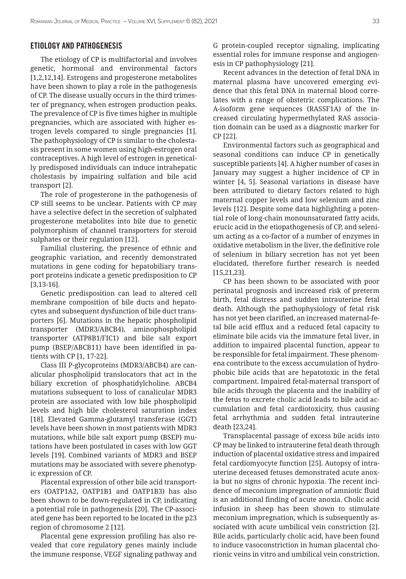## ETIOLOGY AND PATHOGENESIS

The etiology of CP is multifactorial and involves genetic, hormonal and environmental factors [1,2,12,14]. Estrogens and progesterone metabolites have been shown to play a role in the pathogenesis of CP. The disease usually occurs in the third trimester of pregnancy, when estrogen production peaks. The prevalence of CP is five times higher in multiple pregnancies, which are associated with higher estrogen levels compared to single pregnancies [1]. The pathophysiology of CP is similar to the cholestasis present in some women using high-estrogen oral contraceptives. A high level of estrogen in genetically predisposed individuals can induce intrahepatic cholestasis by impairing sulfation and bile acid transport [2].

The role of progesterone in the pathogenesis of CP still seems to be unclear. Patients with CP may have a selective defect in the secretion of sulphated progesterone metabolites into bile due to genetic polymorphism of channel transporters for steroid sulphates or their regulation [12].

Familial clustering, the presence of ethnic and geographic variation, and recently demonstrated mutations in gene coding for hepatobiliary transport proteins indicate a genetic predisposition to CP [3,13-16].

Genetic predisposition can lead to altered cell membrane composition of bile ducts and hepatocytes and subsequent dysfunction of bile duct transporters [6]. Mutations in the hepatic phospholipid transporter (MDR3/ABCB4), aminophospholipid transporter (ATP8B1/FIC1) and bile salt export pump (BSEP/ABCB11) have been identified in patients with CP [1, 17-22].

Class III P-glycoproteins (MDR3/ABCB4) are canalicular phospholipid translocators that act in the biliary excretion of phosphatidylcholine. ABCB4 mutations subsequent to loss of canalicular MDR3 protein are associated with low bile phospholipid levels and high bile cholesterol saturation index [18]. Elevated Gamma-glutamyl transferase (GGT) levels have been shown in most patients with MDR3 mutations, while bile salt export pump (BSEP) mutations have been postulated in cases with low GGT levels [19]. Combined variants of MDR3 and BSEP mutations may be associated with severe phenotypic expression of CP.

Placental expression of other bile acid transporters (OATP1A2, OATP1B1 and OATP1B3) has also been shown to be down-regulated in CP, indicating a potential role in pathogenesis [20]. The CP-associated gene has been reported to be located in the p23 region of chromosome 2 [12].

Placental gene expression profiling has also revealed that core regulatory genes mainly include the immune response, VEGF signaling pathway and G protein-coupled receptor signaling, implicating essential roles for immune response and angiogenesis in CP pathophysiology [21].

Recent advances in the detection of fetal DNA in maternal plasma have uncovered emerging evidence that this fetal DNA in maternal blood correlates with a range of obstetric complications. The A-isoform gene sequences (RASSF1A) of the increased circulating hypermethylated RAS association domain can be used as a diagnostic marker for CP [22].

Environmental factors such as geographical and seasonal conditions can induce CP in genetically susceptible patients [4]. A higher number of cases in January may suggest a higher incidence of CP in winter [4, 5]. Seasonal variations in disease have been attributed to dietary factors related to high maternal copper levels and low selenium and zinc levels [12]. Despite some data highlighting a potential role of long-chain monounsaturated fatty acids, erucic acid in the etiopathogenesis of CP, and selenium acting as a co-factor of a number of enzymes in oxidative metabolism in the liver, the definitive role of selenium in biliary secretion has not yet been elucidated, therefore further research is needed [15,21,23].

CP has been shown to be associated with poor perinatal prognosis and increased risk of preterm birth, fetal distress and sudden intrauterine fetal death. Although the pathophysiology of fetal risk has not yet been clarified, an increased maternal-fetal bile acid efflux and a reduced fetal capacity to eliminate bile acids via the immature fetal liver, in addition to impaired placental function, appear to be responsible for fetal impairment. These phenomena contribute to the excess accumulation of hydrophobic bile acids that are hepatotoxic in the fetal compartment. Impaired fetal-maternal transport of bile acids through the placenta and the inability of the fetus to excrete cholic acid leads to bile acid accumulation and fetal cardiotoxicity, thus causing fetal arrhythmia and sudden fetal intrauterine death [23,24].

Transplacental passage of excess bile acids into CP may be linked to intrauterine fetal death through induction of placental oxidative stress and impaired fetal cardiomyocyte function [25]. Autopsy of intrauterine deceased fetuses demonstrated acute anoxia but no signs of chronic hypoxia. The recent incidence of meconium impregnation of amniotic fluid is an additional finding of acute anoxia. Cholic acid infusion in sheep has been shown to stimulate meconium impregnation, which is subsequently associated with acute umbilical vein constriction [2]. Bile acids, particularly cholic acid, have been found to induce vasoconstriction in human placental chorionic veins in vitro and umbilical vein constriction.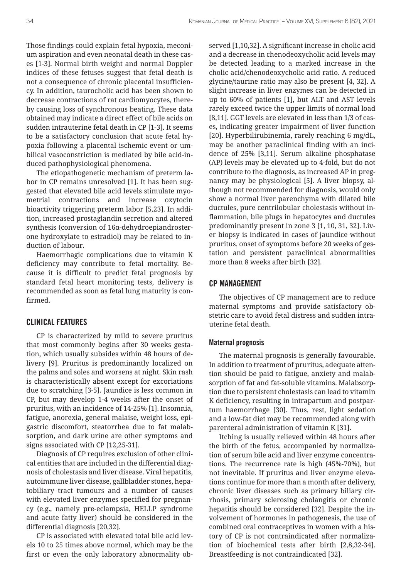Those findings could explain fetal hypoxia, meconium aspiration and even neonatal death in these cases [1-3]. Normal birth weight and normal Doppler indices of these fetuses suggest that fetal death is not a consequence of chronic placental insufficiency. In addition, taurocholic acid has been shown to decrease contractions of rat cardiomyocytes, thereby causing loss of synchronous beating. These data obtained may indicate a direct effect of bile acids on sudden intrauterine fetal death in CP [1-3]. It seems to be a satisfactory conclusion that acute fetal hypoxia following a placental ischemic event or umbilical vasoconstriction is mediated by bile acid-induced pathophysiological phenomena.

The etiopathogenetic mechanism of preterm labor in CP remains unresolved [1]. It has been suggested that elevated bile acid levels stimulate myometrial contractions and increase oxytocin bioactivity triggering preterm labor [5,23]. In addition, increased prostaglandin secretion and altered synthesis (conversion of 16α-dehydroepiandrosterone hydroxylate to estradiol) may be related to induction of labour.

Haemorrhagic complications due to vitamin K deficiency may contribute to fetal mortality. Because it is difficult to predict fetal prognosis by standard fetal heart monitoring tests, delivery is recommended as soon as fetal lung maturity is confirmed.

# CLINICAL FEATURES

CP is characterized by mild to severe pruritus that most commonly begins after 30 weeks gestation, which usually subsides within 48 hours of delivery [9]. Pruritus is predominantly localized on the palms and soles and worsens at night. Skin rash is characteristically absent except for excoriations due to scratching [3-5]. Jaundice is less common in CP, but may develop 1-4 weeks after the onset of pruritus, with an incidence of 14-25% [1]. Insomnia, fatigue, anorexia, general malaise, weight loss, epigastric discomfort, steatorrhea due to fat malabsorption, and dark urine are other symptoms and signs associated with CP [12,25-31].

Diagnosis of CP requires exclusion of other clinical entities that are included in the differential diagnosis of cholestasis and liver disease. Viral hepatitis, autoimmune liver disease, gallbladder stones, hepatobiliary tract tumours and a number of causes with elevated liver enzymes specified for pregnancy (e.g., namely pre-eclampsia, HELLP syndrome and acute fatty liver) should be considered in the differential diagnosis [20,32].

CP is associated with elevated total bile acid levels 10 to 25 times above normal, which may be the first or even the only laboratory abnormality observed [1,10,32]. A significant increase in cholic acid and a decrease in chenodeoxycholic acid levels may be detected leading to a marked increase in the cholic acid/chenodeoxycholic acid ratio. A reduced glycine/taurine ratio may also be present [4, 32]. A slight increase in liver enzymes can be detected in up to 60% of patients [1], but ALT and AST levels rarely exceed twice the upper limits of normal load [8,11]. GGT levels are elevated in less than 1/3 of cases, indicating greater impairment of liver function [20]. Hyperbilirubinemia, rarely reaching 6 mg/dL, may be another paraclinical finding with an incidence of 25% [3,11]. Serum alkaline phosphatase (AP) levels may be elevated up to 4-fold, but do not contribute to the diagnosis, as increased AP in pregnancy may be physiological [5]. A liver biopsy, although not recommended for diagnosis, would only show a normal liver parenchyma with dilated bile ductules, pure centrilobular cholestasis without inflammation, bile plugs in hepatocytes and ductules predominantly present in zone 3 [1, 10, 31, 32]. Liver biopsy is indicated in cases of jaundice without pruritus, onset of symptoms before 20 weeks of gestation and persistent paraclinical abnormalities more than 8 weeks after birth [32].

# CP MANAGEMENT

The objectives of CP management are to reduce maternal symptoms and provide satisfactory obstetric care to avoid fetal distress and sudden intrauterine fetal death.

### Maternal prognosis

The maternal prognosis is generally favourable. In addition to treatment of pruritus, adequate attention should be paid to fatigue, anxiety and malabsorption of fat and fat-soluble vitamins. Malabsorption due to persistent cholestasis can lead to vitamin K deficiency, resulting in intrapartum and postpartum haemorrhage [30]. Thus, rest, light sedation and a low-fat diet may be recommended along with parenteral administration of vitamin K [31].

Itching is usually relieved within 48 hours after the birth of the fetus, accompanied by normalization of serum bile acid and liver enzyme concentrations. The recurrence rate is high (45%-70%), but not inevitable. If pruritus and liver enzyme elevations continue for more than a month after delivery, chronic liver diseases such as primary biliary cirrhosis, primary sclerosing cholangitis or chronic hepatitis should be considered [32]. Despite the involvement of hormones in pathogenesis, the use of combined oral contraceptives in women with a history of CP is not contraindicated after normalization of biochemical tests after birth [2,8,32-34]. Breastfeeding is not contraindicated [32].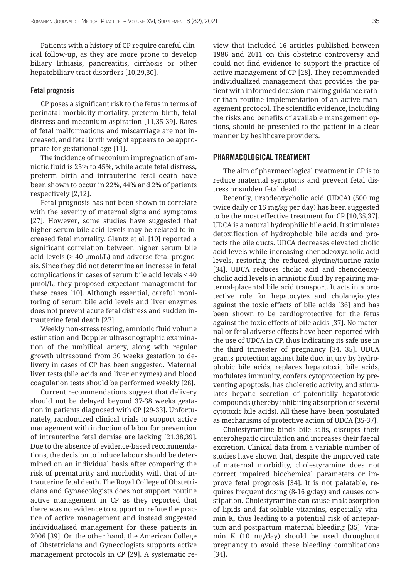Patients with a history of CP require careful clinical follow-up, as they are more prone to develop biliary lithiasis, pancreatitis, cirrhosis or other hepatobiliary tract disorders [10,29,30].

### Fetal prognosis

CP poses a significant risk to the fetus in terms of perinatal morbidity-mortality, preterm birth, fetal distress and meconium aspiration [11,35-39]. Rates of fetal malformations and miscarriage are not increased, and fetal birth weight appears to be appropriate for gestational age [11].

The incidence of meconium impregnation of amniotic fluid is 25% to 45%, while acute fetal distress, preterm birth and intrauterine fetal death have been shown to occur in 22%, 44% and 2% of patients respectively [2,12].

Fetal prognosis has not been shown to correlate with the severity of maternal signs and symptoms [27]. However, some studies have suggested that higher serum bile acid levels may be related to increased fetal mortality. Glantz et al. [10] reported a significant correlation between higher serum bile acid levels ( $\geq 40$  µmol/L) and adverse fetal prognosis. Since they did not determine an increase in fetal complications in cases of serum bile acid levels < 40 μmol/L, they proposed expectant management for these cases [10]. Although essential, careful monitoring of serum bile acid levels and liver enzymes does not prevent acute fetal distress and sudden intrauterine fetal death [27].

Weekly non-stress testing, amniotic fluid volume estimation and Doppler ultrasonographic examination of the umbilical artery, along with regular growth ultrasound from 30 weeks gestation to delivery in cases of CP has been suggested. Maternal liver tests (bile acids and liver enzymes) and blood coagulation tests should be performed weekly [28].

Current recommendations suggest that delivery should not be delayed beyond 37-38 weeks gestation in patients diagnosed with CP [29-33]. Unfortunately, randomized clinical trials to support active management with induction of labor for prevention of intrauterine fetal demise are lacking [21,38,39]. Due to the absence of evidence-based recommendations, the decision to induce labour should be determined on an individual basis after comparing the risk of prematurity and morbidity with that of intrauterine fetal death. The Royal College of Obstetricians and Gynaecologists does not support routine active management in CP as they reported that there was no evidence to support or refute the practice of active management and instead suggested individualised management for these patients in 2006 [39]. On the other hand, the American College of Obstetricians and Gynecologists supports active management protocols in CP [29]. A systematic review that included 16 articles published between 1986 and 2011 on this obstetric controversy and could not find evidence to support the practice of active management of CP [28]. They recommended individualized management that provides the patient with informed decision-making guidance rather than routine implementation of an active management protocol. The scientific evidence, including the risks and benefits of available management options, should be presented to the patient in a clear manner by healthcare providers.

## PHARMACOLOGICAL TREATMENT

The aim of pharmacological treatment in CP is to reduce maternal symptoms and prevent fetal distress or sudden fetal death.

Recently, ursodeoxycholic acid (UDCA) (500 mg twice daily or 15 mg/kg per day) has been suggested to be the most effective treatment for CP [10,35,37]. UDCA is a natural hydrophilic bile acid. It stimulates detoxification of hydrophobic bile acids and protects the bile ducts. UDCA decreases elevated cholic acid levels while increasing chenodeoxycholic acid levels, restoring the reduced glycine/taurine ratio [34]. UDCA reduces cholic acid and chenodeoxycholic acid levels in amniotic fluid by repairing maternal-placental bile acid transport. It acts in a protective role for hepatocytes and cholangiocytes against the toxic effects of bile acids [36] and has been shown to be cardioprotective for the fetus against the toxic effects of bile acids [37]. No maternal or fetal adverse effects have been reported with the use of UDCA in CP, thus indicating its safe use in the third trimester of pregnancy [34, 35]. UDCA grants protection against bile duct injury by hydrophobic bile acids, replaces hepatotoxic bile acids, modulates immunity, confers cytoprotection by preventing apoptosis, has choleretic activity, and stimulates hepatic secretion of potentially hepatotoxic compounds (thereby inhibiting absorption of several cytotoxic bile acids). All these have been postulated as mechanisms of protective action of UDCA [35-37].

Cholestyramine binds bile salts, disrupts their enterohepatic circulation and increases their faecal excretion. Clinical data from a variable number of studies have shown that, despite the improved rate of maternal morbidity, cholestyramine does not correct impaired biochemical parameters or improve fetal prognosis [34]. It is not palatable, requires frequent dosing (8-16 g/day) and causes constipation. Cholestyramine can cause malabsorption of lipids and fat-soluble vitamins, especially vitamin K, thus leading to a potential risk of antepartum and postpartum maternal bleeding [35]. Vitamin K (10 mg/day) should be used throughout pregnancy to avoid these bleeding complications [34].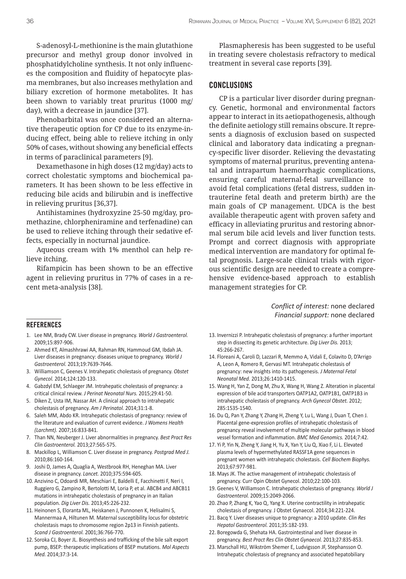S-adenosyl-L-methionine is the main glutathione precursor and methyl group donor involved in phosphatidylcholine synthesis. It not only influences the composition and fluidity of hepatocyte plasma membranes, but also increases methylation and biliary excretion of hormone metabolites. It has been shown to variably treat pruritus (1000 mg/ day), with a decrease in jaundice [37].

Phenobarbital was once considered an alternative therapeutic option for CP due to its enzyme-inducing effect, being able to relieve itching in only 50% of cases, without showing any beneficial effects in terms of paraclinical parameters [9].

Dexamethasone in high doses (12 mg/day) acts to correct cholestatic symptoms and biochemical parameters. It has been shown to be less effective in reducing bile acids and bilirubin and is ineffective in relieving pruritus [36,37].

Antihistamines (hydroxyzine 25-50 mg/day, promethazine, chlorpheniramine and terfenadine) can be used to relieve itching through their sedative effects, especially in nocturnal jaundice.

Aqueous cream with 1% menthol can help relieve itching.

Rifampicin has been shown to be an effective agent in relieving pruritus in 77% of cases in a recent meta-analysis [38].

Plasmapheresis has been suggested to be useful in treating severe cholestasis refractory to medical treatment in several case reports [39].

# CONCLUSIONS

CP is a particular liver disorder during pregnancy. Genetic, hormonal and environmental factors appear to interact in its aetiopathogenesis, although the definite aetiology still remains obscure. It represents a diagnosis of exclusion based on suspected clinical and laboratory data indicating a pregnancy-specific liver disorder. Relieving the devastating symptoms of maternal pruritus, preventing antenatal and intrapartum haemorrhagic complications, ensuring careful maternal-fetal surveillance to avoid fetal complications (fetal distress, sudden intrauterine fetal death and preterm birth) are the main goals of CP management. UDCA is the best available therapeutic agent with proven safety and efficacy in alleviating pruritus and restoring abnormal serum bile acid levels and liver function tests. Prompt and correct diagnosis with appropriate medical intervention are mandatory for optimal fetal prognosis. Large-scale clinical trials with rigorous scientific design are needed to create a comprehensive evidence-based approach to establish management strategies for CP.

> *Conflict of interest:* none declared *Financial support:* none declared

#### REFERENCES

- 1. Lee NM, Brady CW. Liver disease in pregnancy. *World J Gastroenterol.* 2009;15:897-906.
- 2. Ahmed KT, Almashhrawi AA, Rahman RN, Hammoud GM, Ibdah JA. Liver diseases in pregnancy: diseases unique to pregnancy. *World J Gastroenterol.* 2013;19:7639-7646.
- 3. Williamson C, Geenes V. Intrahepatic cholestasis of pregnancy. *Obstet Gynecol.* 2014;124:120-133.
- 4. Gabzdyl EM, Schlaeger JM. Intrahepatic cholestasis of pregnancy: a critical clinical review. *J Perinat Neonatal Nurs.* 2015;29:41-50.
- 5. Diken Z, Usta IM, Nassar AH. A clinical approach to intrahepatic cholestasis of pregnancy. *Am J Perinatol.* 2014;31:1-8.
- 6. Saleh MM, Abdo KR. Intrahepatic cholestasis of pregnancy: review of the literature and evaluation of current evidence. *J Womens Health (Larchmt).* 2007;16:833-841.
- 7. Than NN, Neuberger J. Liver abnormalities in pregnancy. *Best Pract Res Clin Gastroenterol.* 2013;27:565-575.
- 8. Mackillop L, Williamson C. Liver disease in pregnancy. *Postgrad Med J.* 2010;86:160-164.
- 9. Joshi D, James A, Quaglia A, Westbrook RH, Heneghan MA. Liver disease in pregnancy. *Lancet.* 2010;375:594-605.
- 10. Anzivino C, Odoardi MR, Meschiari E, Baldelli E, Facchinetti F, Neri I, Ruggiero G, Zampino R, Bertolotti M, Loria P, et al. ABCB4 and ABCB11 mutations in intrahepatic cholestasis of pregnancy in an Italian population. *Dig Liver Dis.* 2013;45:226-232.
- 11. Heinonen S, Eloranta ML, Heiskanen J, Punnonen K, Helisalmi S, Mannermaa A, Hiltunen M. Maternal susceptibility locus for obstetric cholestasis maps to chromosome region 2p13 in Finnish patients. *Scand J Gastroenterol.* 2001;36:766-770.
- 12. Soroka CJ, Boyer JL. Biosynthesis and trafficking of the bile salt export pump, BSEP: therapeutic implications of BSEP mutations. *Mol Aspects Med.* 2014;37:3-14.
- 13. Invernizzi P. Intrahepatic cholestasis of pregnancy: a further important step in dissecting its genetic architecture. *Dig Liver Dis.* 2013; 45:266-267.
- 14. Floreani A, Caroli D, Lazzari R, Memmo A, Vidali E, Colavito D, D'Arrigo A, Leon A, Romero R, Gervasi MT. Intrahepatic cholestasis of pregnancy: new insights into its pathogenesis. *J Maternal Fetal Neonatal Med.* 2013;26:1410-1415.
- 15. Wang H, Yan Z, Dong M, Zhu X, Wang H, Wang Z. Alteration in placental expression of bile acid transporters OATP1A2, OATP1B1, OATP1B3 in intrahepatic cholestasis of pregnancy. *Arch Gynecol Obstet.* 2012; 285:1535-1540.
- 16. Du Q, Pan Y, Zhang Y, Zhang H, Zheng Y, Lu L, Wang J, Duan T, Chen J. Placental gene-expression profiles of intrahepatic cholestasis of pregnancy reveal involvement of multiple molecular pathways in blood vessel formation and inflammation. *BMC Med Genomics.* 2014;7:42.
- 17. Yi P, Yin N, Zheng Y, Jiang H, Yu X, Yan Y, Liu Q, Xiao F, Li L. Elevated plasma levels of hypermethylated RASSF1A gene sequences in pregnant women with intrahepatic cholestasis. *Cell Biochem Biophys.*  2013;67:977-981.
- 18. Mays JK. The active management of intrahepatic cholestasis of pregnancy. Curr Opin Obstet Gynecol. 2010;22:100-103.
- 19. Geenes V, Williamson C. Intrahepatic cholestasis of pregnancy. *World J Gastroenterol.* 2009;15:2049-2066.
- 20. Zhao P, Zhang K, Yao Q, Yang X. Uterine contractility in intrahepatic cholestasis of pregnancy. J Obstet Gynaecol. 2014;34:221-224.
- 21. Bacq Y. Liver diseases unique to pregnancy: a 2010 update. *Clin Res Hepatol Gastroenterol.* 2011;35:182-193.
- 22. Boregowda G, Shehata HA. Gastrointestinal and liver disease in pregnancy. *Best Pract Res Clin Obstet Gynaecol.* 2013;27:835-853.
- 23. Marschall HU, Wikström Shemer E, Ludvigsson JF, Stephansson O. Intrahepatic cholestasis of pregnancy and associated hepatobiliary